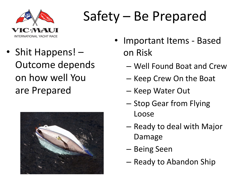

## Safety – Be Prepared

• Shit Happens! – Outcome depends on how well You are Prepared



- Important Items Based on Risk
	- Well Found Boat and Crew
	- Keep Crew On the Boat
	- Keep Water Out
	- Stop Gear from Flying Loose
	- Ready to deal with Major Damage
	- Being Seen
	- Ready to Abandon Ship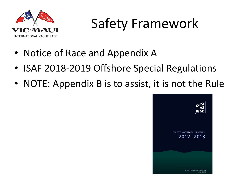

### Safety Framework

- Notice of Race and Appendix A
- ISAF 2018-2019 Offshore Special Regulations
- NOTE: Appendix B is to assist, it is not the Rule

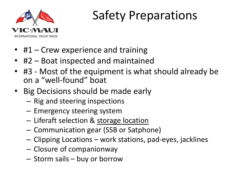

#### Safety Preparations

- #1 Crew experience and training
- #2 Boat inspected and maintained
- #3 Most of the equipment is what should already be on a "well-found" boat
- Big Decisions should be made early
	- Rig and steering inspections
	- Emergency steering system
	- Liferaft selection & storage location
	- Communication gear (SSB or Satphone)
	- Clipping Locations work stations, pad-eyes, jacklines
	- Closure of companionway
	- Storm sails buy or borrow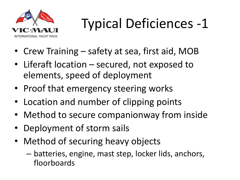

# Typical Deficiences -1

- Crew Training safety at sea, first aid, MOB
- Liferaft location secured, not exposed to elements, speed of deployment
- Proof that emergency steering works
- Location and number of clipping points
- Method to secure companionway from inside
- Deployment of storm sails
- Method of securing heavy objects
	- batteries, engine, mast step, locker lids, anchors, floorboards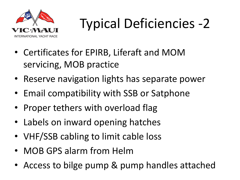

# Typical Deficiencies -2

- Certificates for EPIRB, Liferaft and MOM servicing, MOB practice
- Reserve navigation lights has separate power
- Email compatibility with SSB or Satphone
- Proper tethers with overload flag
- Labels on inward opening hatches
- VHF/SSB cabling to limit cable loss
- MOB GPS alarm from Helm
- Access to bilge pump & pump handles attached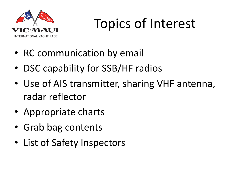

## Topics of Interest

- RC communication by email
- DSC capability for SSB/HF radios
- Use of AIS transmitter, sharing VHF antenna, radar reflector
- Appropriate charts
- Grab bag contents
- List of Safety Inspectors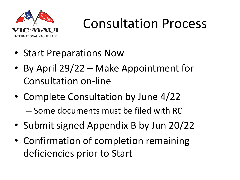

### Consultation Process

- Start Preparations Now
- By April 29/22 Make Appointment for Consultation on-line
- Complete Consultation by June 4/22
	- Some documents must be filed with RC
- Submit signed Appendix B by Jun 20/22
- Confirmation of completion remaining deficiencies prior to Start